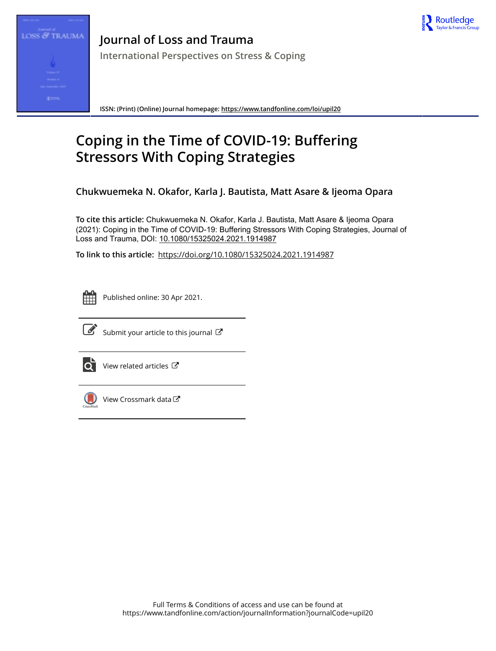



**Journal of Loss and Trauma International Perspectives on Stress & Coping**

**ISSN: (Print) (Online) Journal homepage:<https://www.tandfonline.com/loi/upil20>**

# **Coping in the Time of COVID-19: Buffering Stressors With Coping Strategies**

**Chukwuemeka N. Okafor, Karla J. Bautista, Matt Asare & Ijeoma Opara**

**To cite this article:** Chukwuemeka N. Okafor, Karla J. Bautista, Matt Asare & Ijeoma Opara (2021): Coping in the Time of COVID-19: Buffering Stressors With Coping Strategies, Journal of Loss and Trauma, DOI: [10.1080/15325024.2021.1914987](https://www.tandfonline.com/action/showCitFormats?doi=10.1080/15325024.2021.1914987)

**To link to this article:** <https://doi.org/10.1080/15325024.2021.1914987>



Published online: 30 Apr 2021.



 $\overrightarrow{S}$  [Submit your article to this journal](https://www.tandfonline.com/action/authorSubmission?journalCode=upil20&show=instructions)  $\overrightarrow{S}$ 



 $\overrightarrow{Q}$  [View related articles](https://www.tandfonline.com/doi/mlt/10.1080/15325024.2021.1914987)  $\overrightarrow{C}$ 



 $\bigcirc$  [View Crossmark data](http://crossmark.crossref.org/dialog/?doi=10.1080/15325024.2021.1914987&domain=pdf&date_stamp=2021-04-30) $\mathbb{Z}$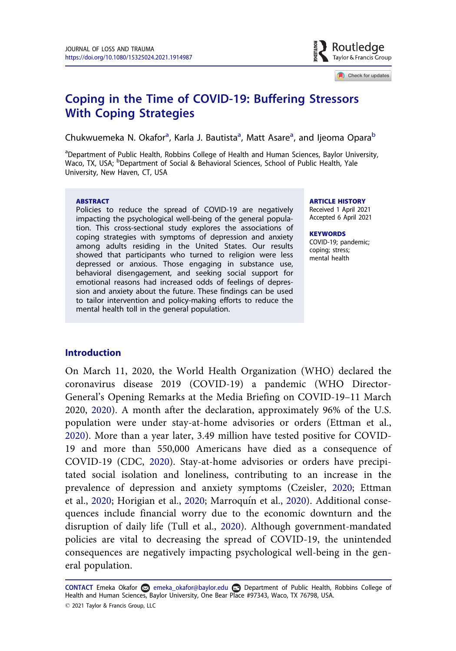

Check for updates

# <span id="page-1-0"></span>Coping in the Time of COVID-19: Buffering Stressors With Coping Strategies Strategies<br>Strategies

Chukwuemeka N. Okafor<sup>a</sup>, Karla J. Bautista<sup>a</sup>, Matt Asare<sup>a</sup>, and Ijeoma Opara<sup>b</sup>

<sup>a</sup>Department of Public Health, Robbins College of Health and Human Sciences, Baylor University, Waco, TX, USA; <sup>b</sup>Department of Social & Behavioral Sciences, School of Public Health, Yale University, New Haven, CT, USA

#### ABSTRACT

Policies to reduce the spread of COVID-19 are negatively impacting the psychological well-being of the general population. This cross-sectional study explores the associations of coping strategies with symptoms of depression and anxiety among adults residing in the United States. Our results showed that participants who turned to religion were less depressed or anxious. Those engaging in substance use, behavioral disengagement, and seeking social support for emotional reasons had increased odds of feelings of depression and anxiety about the future. These findings can be used to tailor intervention and policy-making efforts to reduce the mental health toll in the general population.

#### ARTICLE HISTORY

Received 1 April 2021 Accepted 6 April 2021

**KEYWORDS** COVID-19; pandemic; coping; stress; mental health

#### Introduction

On March 11, 2020, the World Health Organization (WHO) declared the coronavirus disease 2019 (COVID-19) a pandemic (WHO Director-General's Opening Remarks at the Media Briefing on COVID-19–11 March 2020, [2020](#page-9-0)). A month after the declaration, approximately 96% of the U.S. population were under stay-at-home advisories or orders (Ettman et al., [2020](#page-7-0)). More than a year later, 3.49 million have tested positive for COVID-19 and more than 550,000 Americans have died as a consequence of COVID-19 (CDC, [2020](#page-7-0)). Stay-at-home advisories or orders have precipitated social isolation and loneliness, contributing to an increase in the prevalence of depression and anxiety symptoms (Czeisler, [2020](#page-7-0); Ettman et al., [2020](#page-8-0); Horigian et al., 2020; Marroquín et al., 2020). Additional consequences include financial worry due to the economic downturn and the disruption of daily life (Tull et al., [2020](#page-9-0)). Although government-mandated policies are vital to decreasing the spread of COVID-19, the unintended consequences are negatively impacting psychological well-being in the general population.

CONTACT Emeka Okafor e emeka\_okafor@baylor.edu Department of Public Health, Robbins College of Health and Human Sciences, Baylor University, One Bear Place #97343, Waco, TX 76798, USA. 2021 Taylor & Francis Group, LLC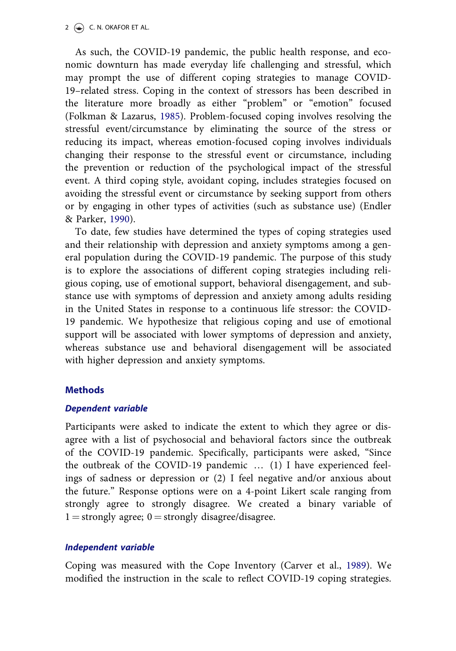<span id="page-2-0"></span>As such, the COVID-19 pandemic, the public health response, and economic downturn has made everyday life challenging and stressful, which may prompt the use of different coping strategies to manage COVID-19–related stress. Coping in the context of stressors has been described in the literature more broadly as either "problem" or "emotion" focused (Folkman & Lazarus, [1985\)](#page-7-0). Problem-focused coping involves resolving the stressful event/circumstance by eliminating the source of the stress or reducing its impact, whereas emotion-focused coping involves individuals changing their response to the stressful event or circumstance, including the prevention or reduction of the psychological impact of the stressful event. A third coping style, avoidant coping, includes strategies focused on avoiding the stressful event or circumstance by seeking support from others or by engaging in other types of activities (such as substance use) (Endler & Parker, [1990](#page-7-0)).

To date, few studies have determined the types of coping strategies used and their relationship with depression and anxiety symptoms among a general population during the COVID-19 pandemic. The purpose of this study is to explore the associations of different coping strategies including religious coping, use of emotional support, behavioral disengagement, and substance use with symptoms of depression and anxiety among adults residing in the United States in response to a continuous life stressor: the COVID-19 pandemic. We hypothesize that religious coping and use of emotional support will be associated with lower symptoms of depression and anxiety, whereas substance use and behavioral disengagement will be associated with higher depression and anxiety symptoms.

## **Methods**

#### Dependent variable

Participants were asked to indicate the extent to which they agree or disagree with a list of psychosocial and behavioral factors since the outbreak of the COVID-19 pandemic. Specifically, participants were asked, "Since the outbreak of the COVID-19 pandemic … (1) I have experienced feelings of sadness or depression or (2) I feel negative and/or anxious about the future." Response options were on a 4-point Likert scale ranging from strongly agree to strongly disagree. We created a binary variable of  $1 =$ strongly agree;  $0 =$ strongly disagree/disagree.

# Independent variable

Coping was measured with the Cope Inventory (Carver et al., [1989\)](#page-7-0). We modified the instruction in the scale to reflect COVID-19 coping strategies.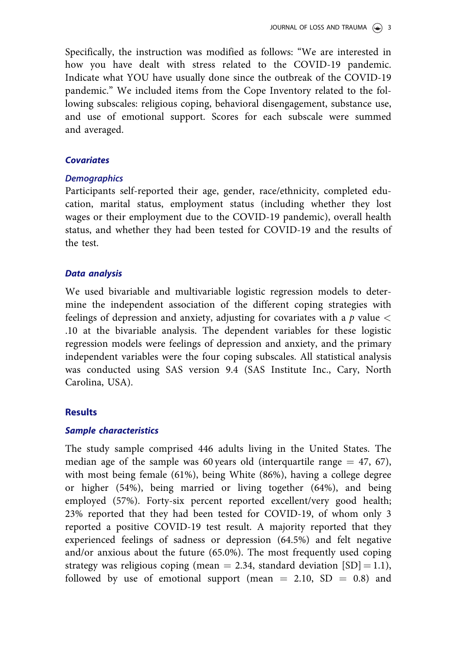Specifically, the instruction was modified as follows: "We are interested in how you have dealt with stress related to the COVID-19 pandemic. Indicate what YOU have usually done since the outbreak of the COVID-19 pandemic." We included items from the Cope Inventory related to the following subscales: religious coping, behavioral disengagement, substance use, and use of emotional support. Scores for each subscale were summed and averaged.

#### **Covariates**

Participants self-reported their age, gender, race/ethnicity, completed education, marital status, employment status (including whether they lost wages or their employment due to the COVID-19 pandemic), overall health status, and whether they had been tested for COVID-19 and the results of the test.

## Data analysis

We used bivariable and multivariable logistic regression models to determine the independent association of the different coping strategies with feelings of depression and anxiety, adjusting for covariates with a  $p$  value  $\lt$ .10 at the bivariable analysis. The dependent variables for these logistic regression models were feelings of depression and anxiety, and the primary independent variables were the four coping subscales. All statistical analysis was conducted using SAS version 9.4 (SAS Institute Inc., Cary, North Carolina, USA).

## Results

#### Sample characteristics

The study sample comprised 446 adults living in the United States. The median age of the sample was 60 years old (interquartile range  $=$  47, 67), with most being female (61%), being White (86%), having a college degree or higher (54%), being married or living together (64%), and being employed (57%). Forty-six percent reported excellent/very good health; 23% reported that they had been tested for COVID-19, of whom only 3 reported a positive COVID-19 test result. A majority reported that they experienced feelings of sadness or depression (64.5%) and felt negative and/or anxious about the future (65.0%). The most frequently used coping strategy was religious coping (mean  $= 2.34$ , standard deviation [SD]  $= 1.1$ ), followed by use of emotional support (mean  $= 2.10$ , SD  $= 0.8$ ) and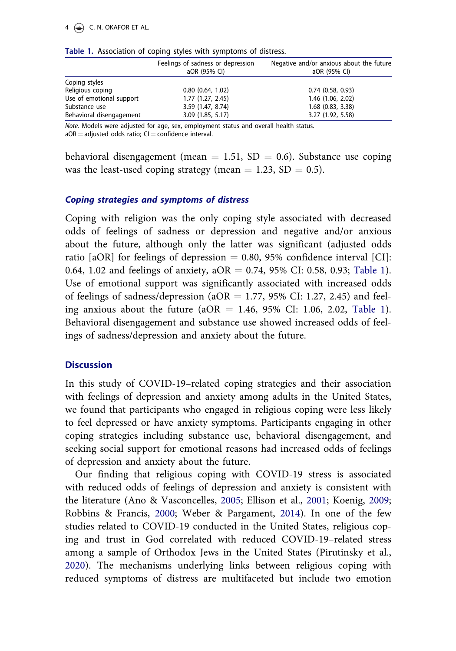|                          | Feelings of sadness or depression<br>aOR (95% CI) | Negative and/or anxious about the future<br>aOR (95% CI) |  |
|--------------------------|---------------------------------------------------|----------------------------------------------------------|--|
| Coping styles            |                                                   |                                                          |  |
| Religious coping         | 0.80(0.64, 1.02)                                  | $0.74$ $(0.58, 0.93)$                                    |  |
| Use of emotional support | 1.77(1.27, 2.45)                                  | 1.46 (1.06, 2.02)                                        |  |
| Substance use            | 3.59 (1.47, 8.74)                                 | $1.68$ (0.83, 3.38)                                      |  |
| Behavioral disengagement | 3.09(1.85, 5.17)                                  | 3.27 (1.92, 5.58)                                        |  |

#### <span id="page-4-0"></span>Table 1. Association of coping styles with symptoms of distress.

Note. Models were adjusted for age, sex, employment status and overall health status.

 $aOR =$  adjusted odds ratio;  $CI =$  confidence interval.

behavioral disengagement (mean  $= 1.51$ , SD  $= 0.6$ ). Substance use coping was the least-used coping strategy (mean  $= 1.23$ , SD  $= 0.5$ ).

#### Coping strategies and symptoms of distress

Coping with religion was the only coping style associated with decreased odds of feelings of sadness or depression and negative and/or anxious about the future, although only the latter was significant (adjusted odds ratio  $[aOR]$  for feelings of depression  $= 0.80, 95\%$  confidence interval  $[CI]$ : 0.64, 1.02 and feelings of anxiety,  $aOR = 0.74$ , 95% CI: 0.58, 0.93; Table 1). Use of emotional support was significantly associated with increased odds of feelings of sadness/depression (aOR = 1.77, 95% CI: 1.27, 2.45) and feeling anxious about the future ( $aOR = 1.46$ , 95% CI: 1.06, 2.02, Table 1). Behavioral disengagement and substance use showed increased odds of feelings of sadness/depression and anxiety about the future.

## **Discussion**

In this study of COVID-19–related coping strategies and their association with feelings of depression and anxiety among adults in the United States, we found that participants who engaged in religious coping were less likely to feel depressed or have anxiety symptoms. Participants engaging in other coping strategies including substance use, behavioral disengagement, and seeking social support for emotional reasons had increased odds of feelings of depression and anxiety about the future.

Our finding that religious coping with COVID-19 stress is associated with reduced odds of feelings of depression and anxiety is consistent with the literature (Ano & Vasconcelles, [2005](#page-7-0); Ellison et al., [2001;](#page-7-0) Koenig, [2009;](#page-8-0) Robbins & Francis, [2000](#page-8-0); Weber & Pargament, [2014\)](#page-9-0). In one of the few studies related to COVID-19 conducted in the United States, religious coping and trust in God correlated with reduced COVID-19–related stress among a sample of Orthodox Jews in the United States (Pirutinsky et al., [2020](#page-8-0)). The mechanisms underlying links between religious coping with reduced symptoms of distress are multifaceted but include two emotion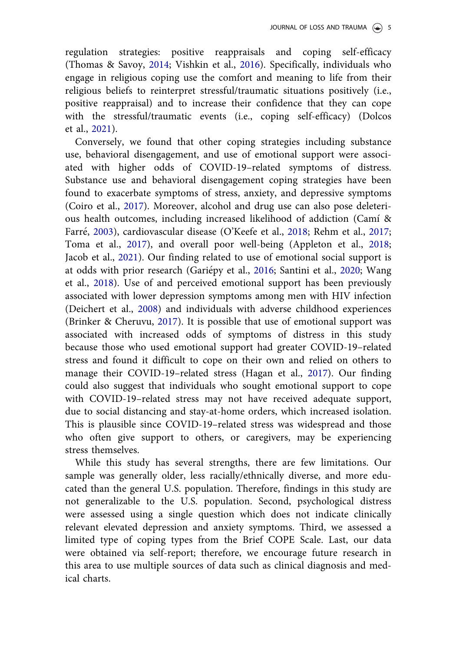<span id="page-5-0"></span>regulation strategies: positive reappraisals and coping self-efficacy (Thomas & Savoy, [2014;](#page-9-0) Vishkin et al., [2016](#page-9-0)). Specifically, individuals who engage in religious coping use the comfort and meaning to life from their religious beliefs to reinterpret stressful/traumatic situations positively (i.e., positive reappraisal) and to increase their confidence that they can cope with the stressful/traumatic events (i.e., coping self-efficacy) (Dolcos et al., [2021](#page-7-0)).

Conversely, we found that other coping strategies including substance use, behavioral disengagement, and use of emotional support were associated with higher odds of COVID-19–related symptoms of distress. Substance use and behavioral disengagement coping strategies have been found to exacerbate symptoms of stress, anxiety, and depressive symptoms (Coiro et al., [2017\)](#page-7-0). Moreover, alcohol and drug use can also pose deleterious health outcomes, including increased likelihood of addiction (Camı & Farré, [2003](#page-7-0)), cardiovascular disease (O'Keefe et al., [2018;](#page-8-0) Rehm et al., [2017;](#page-8-0) Toma et al., [2017](#page-9-0)), and overall poor well-being (Appleton et al., [2018;](#page-7-0) Jacob et al., [2021\)](#page-8-0). Our finding related to use of emotional social support is at odds with prior research (Gariepy et al., [2016;](#page-8-0) Santini et al., [2020;](#page-8-0) Wang et al., [2018](#page-9-0)). Use of and perceived emotional support has been previously associated with lower depression symptoms among men with HIV infection (Deichert et al., [2008](#page-7-0)) and individuals with adverse childhood experiences (Brinker & Cheruvu, [2017](#page-7-0)). It is possible that use of emotional support was associated with increased odds of symptoms of distress in this study because those who used emotional support had greater COVID-19–related stress and found it difficult to cope on their own and relied on others to manage their COVID-19–related stress (Hagan et al., [2017](#page-8-0)). Our finding could also suggest that individuals who sought emotional support to cope with COVID-19–related stress may not have received adequate support, due to social distancing and stay-at-home orders, which increased isolation. This is plausible since COVID-19–related stress was widespread and those who often give support to others, or caregivers, may be experiencing stress themselves.

While this study has several strengths, there are few limitations. Our sample was generally older, less racially/ethnically diverse, and more educated than the general U.S. population. Therefore, findings in this study are not generalizable to the U.S. population. Second, psychological distress were assessed using a single question which does not indicate clinically relevant elevated depression and anxiety symptoms. Third, we assessed a limited type of coping types from the Brief COPE Scale. Last, our data were obtained via self-report; therefore, we encourage future research in this area to use multiple sources of data such as clinical diagnosis and medical charts.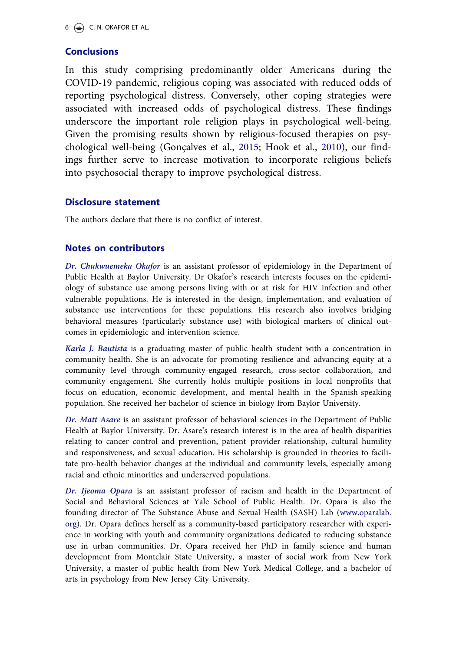# <span id="page-6-0"></span>**Conclusions**

In this study comprising predominantly older Americans during the COVID-19 pandemic, religious coping was associated with reduced odds of reporting psychological distress. Conversely, other coping strategies were associated with increased odds of psychological distress. These findings underscore the important role religion plays in psychological well-being. Given the promising results shown by religious-focused therapies on psy-chological well-being (Gonçalves et al., [2015;](#page-8-0) Hook et al., [2010](#page-8-0)), our findings further serve to increase motivation to incorporate religious beliefs into psychosocial therapy to improve psychological distress.

#### Disclosure statement

The authors declare that there is no conflict of interest.

#### Notes on contributors

Dr. Chukwuemeka Okafor is an assistant professor of epidemiology in the Department of Public Health at Baylor University. Dr Okafor's research interests focuses on the epidemiology of substance use among persons living with or at risk for HIV infection and other vulnerable populations. He is interested in the design, implementation, and evaluation of substance use interventions for these populations. His research also involves bridging behavioral measures (particularly substance use) with biological markers of clinical outcomes in epidemiologic and intervention science.

Karla J. Bautista is a graduating master of public health student with a concentration in community health. She is an advocate for promoting resilience and advancing equity at a community level through community-engaged research, cross-sector collaboration, and community engagement. She currently holds multiple positions in local nonprofits that focus on education, economic development, and mental health in the Spanish-speaking population. She received her bachelor of science in biology from Baylor University.

Dr. Matt Asare is an assistant professor of behavioral sciences in the Department of Public Health at Baylor University. Dr. Asare's research interest is in the area of health disparities relating to cancer control and prevention, patient–provider relationship, cultural humility and responsiveness, and sexual education. His scholarship is grounded in theories to facilitate pro-health behavior changes at the individual and community levels, especially among racial and ethnic minorities and underserved populations.

Dr. Ijeoma Opara is an assistant professor of racism and health in the Department of Social and Behavioral Sciences at Yale School of Public Health. Dr. Opara is also the founding director of The Substance Abuse and Sexual Health (SASH) Lab ([www.oparalab.](http://www.oparalab.org) [org\)](http://www.oparalab.org). Dr. Opara defines herself as a community-based participatory researcher with experience in working with youth and community organizations dedicated to reducing substance use in urban communities. Dr. Opara received her PhD in family science and human development from Montclair State University, a master of social work from New York University, a master of public health from New York Medical College, and a bachelor of arts in psychology from New Jersey City University.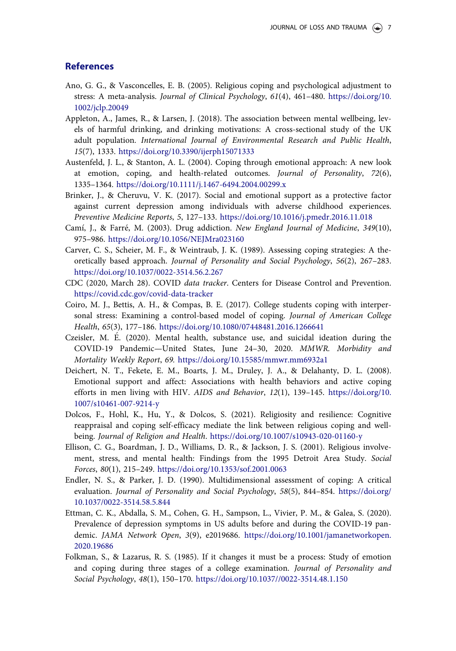#### <span id="page-7-0"></span>**References**

- Ano, G. G., & Vasconcelles, E. B. ([2005\)](#page-4-0). Religious coping and psychological adjustment to stress: A meta-analysis. Journal of Clinical Psychology, 61(4), 461–480. [https://doi.org/10.](https://doi.org/10.1002/jclp.20049) [1002/jclp.20049](https://doi.org/10.1002/jclp.20049)
- Appleton, A., James, R., & Larsen, J. ([2018\)](#page-5-0). The association between mental wellbeing, levels of harmful drinking, and drinking motivations: A cross-sectional study of the UK adult population. International Journal of Environmental Research and Public Health, 15(7), 1333. <https://doi.org/10.3390/ijerph15071333>
- Austenfeld, J. L., & Stanton, A. L. (2004). Coping through emotional approach: A new look at emotion, coping, and health-related outcomes. Journal of Personality, 72(6), 1335–1364. <https://doi.org/10.1111/j.1467-6494.2004.00299.x>
- Brinker, J., & Cheruvu, V. K. [\(2017\)](#page-5-0). Social and emotional support as a protective factor against current depression among individuals with adverse childhood experiences. Preventive Medicine Reports, 5, 127–133. <https://doi.org/10.1016/j.pmedr.2016.11.018>
- Camí, J., & Farré, M. [\(2003](#page-5-0)). Drug addiction. New England Journal of Medicine, 349(10), 975–986. <https://doi.org/10.1056/NEJMra023160>
- Carver, C. S., Scheier, M. F., & Weintraub, J. K. [\(1989](#page-2-0)). Assessing coping strategies: A theoretically based approach. Journal of Personality and Social Psychology, 56(2), 267–283. <https://doi.org/10.1037/0022-3514.56.2.267>
- CDC ([2020,](#page-1-0) March 28). COVID data tracker. Centers for Disease Control and Prevention. <https://covid.cdc.gov/covid-data-tracker>
- Coiro, M. J., Bettis, A. H., & Compas, B. E. [\(2017](#page-5-0)). College students coping with interpersonal stress: Examining a control-based model of coping. Journal of American College Health, 65(3), 177–186. <https://doi.org/10.1080/07448481.2016.1266641>
- Czeisler, M. E. [\(2020\)](#page-1-0). Mental health, substance use, and suicidal ideation during the COVID-19 Pandemic—United States, June 24–30, 2020. MMWR. Morbidity and Mortality Weekly Report, 69. <https://doi.org/10.15585/mmwr.mm6932a1>
- Deichert, N. T., Fekete, E. M., Boarts, J. M., Druley, J. A., & Delahanty, D. L. ([2008](#page-5-0)). Emotional support and affect: Associations with health behaviors and active coping efforts in men living with HIV. AIDS and Behavior, 12(1), 139–145. [https://doi.org/10.](https://doi.org/10.1007/s10461-007-9214-y) [1007/s10461-007-9214-y](https://doi.org/10.1007/s10461-007-9214-y)
- Dolcos, F., Hohl, K., Hu, Y., & Dolcos, S. ([2021](#page-5-0)). Religiosity and resilience: Cognitive reappraisal and coping self-efficacy mediate the link between religious coping and wellbeing. Journal of Religion and Health. <https://doi.org/10.1007/s10943-020-01160-y>
- Ellison, C. G., Boardman, J. D., Williams, D. R., & Jackson, J. S. [\(2001](#page-4-0)). Religious involvement, stress, and mental health: Findings from the 1995 Detroit Area Study. Social Forces, 80(1), 215–249. <https://doi.org/10.1353/sof.2001.0063>
- Endler, N. S., & Parker, J. D. ([1990](#page-2-0)). Multidimensional assessment of coping: A critical evaluation. Journal of Personality and Social Psychology, 58(5), 844–854. [https://doi.org/](https://doi.org/10.1037/0022-3514.58.5.844) [10.1037/0022-3514.58.5.844](https://doi.org/10.1037/0022-3514.58.5.844)
- Ettman, C. K., Abdalla, S. M., Cohen, G. H., Sampson, L., Vivier, P. M., & Galea, S. ([2020](#page-1-0)). Prevalence of depression symptoms in US adults before and during the COVID-19 pandemic. JAMA Network Open, 3(9), e2019686. [https://doi.org/10.1001/jamanetworkopen.](https://doi.org/10.1001/jamanetworkopen.2020.19686) [2020.19686](https://doi.org/10.1001/jamanetworkopen.2020.19686)
- Folkman, S., & Lazarus, R. S. ([1985](#page-2-0)). If it changes it must be a process: Study of emotion and coping during three stages of a college examination. Journal of Personality and Social Psychology, 48(1), 150–170. <https://doi.org/10.1037//0022-3514.48.1.150>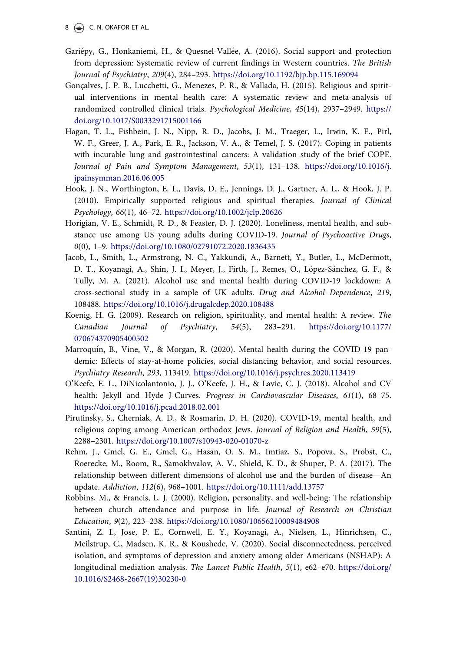- <span id="page-8-0"></span>Gariepy, G., Honkaniemi, H., & Quesnel-Vallee, A. ([2016](#page-5-0)). Social support and protection from depression: Systematic review of current findings in Western countries. The British Journal of Psychiatry, 209(4), 284–293. <https://doi.org/10.1192/bjp.bp.115.169094>
- Gonçalves, J. P. B., Lucchetti, G., Menezes, P. R., & Vallada, H. [\(2015\)](#page-6-0). Religious and spiritual interventions in mental health care: A systematic review and meta-analysis of randomized controlled clinical trials. Psychological Medicine, 45(14), 2937–2949. [https://](https://doi.org/10.1017/S0033291715001166) [doi.org/10.1017/S0033291715001166](https://doi.org/10.1017/S0033291715001166)
- Hagan, T. L., Fishbein, J. N., Nipp, R. D., Jacobs, J. M., Traeger, L., Irwin, K. E., Pirl, W. F., Greer, J. A., Park, E. R., Jackson, V. A., & Temel, J. S. [\(2017](#page-5-0)). Coping in patients with incurable lung and gastrointestinal cancers: A validation study of the brief COPE. Journal of Pain and Symptom Management, 53(1), 131–138. [https://doi.org/10.1016/j.](https://doi.org/10.1016/j.jpainsymman.2016.06.005) [jpainsymman.2016.06.005](https://doi.org/10.1016/j.jpainsymman.2016.06.005)
- Hook, J. N., Worthington, E. L., Davis, D. E., Jennings, D. J., Gartner, A. L., & Hook, J. P. [\(2010\)](#page-6-0). Empirically supported religious and spiritual therapies. Journal of Clinical Psychology, 66(1), 46–72. <https://doi.org/10.1002/jclp.20626>
- Horigian, V. E., Schmidt, R. D., & Feaster, D. J. ([2020](#page-1-0)). Loneliness, mental health, and substance use among US young adults during COVID-19. Journal of Psychoactive Drugs, 0(0), 1–9. <https://doi.org/10.1080/02791072.2020.1836435>
- Jacob, L., Smith, L., Armstrong, N. C., Yakkundi, A., Barnett, Y., Butler, L., McDermott, D. T., Koyanagi, A., Shin, J. I., Meyer, J., Firth, J., Remes, O., López-Sánchez, G. F., & Tully, M. A. ([2021](#page-5-0)). Alcohol use and mental health during COVID-19 lockdown: A cross-sectional study in a sample of UK adults. Drug and Alcohol Dependence, 219, 108488. <https://doi.org/10.1016/j.drugalcdep.2020.108488>
- Koenig, H. G. [\(2009](#page-4-0)). Research on religion, spirituality, and mental health: A review. The Canadian Journal of Psychiatry, 54(5), 283–291. [https://doi.org/10.1177/](https://doi.org/10.1177/070674370905400502) [070674370905400502](https://doi.org/10.1177/070674370905400502)
- Marroquín, B., Vine, V., & Morgan, R. [\(2020](#page-1-0)). Mental health during the COVID-19 pandemic: Effects of stay-at-home policies, social distancing behavior, and social resources. Psychiatry Research, 293, 113419. <https://doi.org/10.1016/j.psychres.2020.113419>
- O'Keefe, E. L., DiNicolantonio, J. J., O'Keefe, J. H., & Lavie, C. J. [\(2018\)](#page-5-0). Alcohol and CV health: Jekyll and Hyde J-Curves. Progress in Cardiovascular Diseases, 61(1), 68–75. <https://doi.org/10.1016/j.pcad.2018.02.001>
- Pirutinsky, S., Cherniak, A. D., & Rosmarin, D. H. [\(2020\)](#page-4-0). COVID-19, mental health, and religious coping among American orthodox Jews. Journal of Religion and Health, 59(5), 2288–2301. <https://doi.org/10.1007/s10943-020-01070-z>
- Rehm, J., Gmel, G. E., Gmel, G., Hasan, O. S. M., Imtiaz, S., Popova, S., Probst, C., Roerecke, M., Room, R., Samokhvalov, A. V., Shield, K. D., & Shuper, P. A. [\(2017\)](#page-5-0). The relationship between different dimensions of alcohol use and the burden of disease—An update. Addiction, 112(6), 968–1001. <https://doi.org/10.1111/add.13757>
- Robbins, M., & Francis, L. J. [\(2000\)](#page-4-0). Religion, personality, and well-being: The relationship between church attendance and purpose in life. Journal of Research on Christian Education, 9(2), 223–238. <https://doi.org/10.1080/10656210009484908>
- Santini, Z. I., Jose, P. E., Cornwell, E. Y., Koyanagi, A., Nielsen, L., Hinrichsen, C., Meilstrup, C., Madsen, K. R., & Koushede, V. ([2020\)](#page-5-0). Social disconnectedness, perceived isolation, and symptoms of depression and anxiety among older Americans (NSHAP): A longitudinal mediation analysis. The Lancet Public Health, 5(1), e62–e70. [https://doi.org/](https://doi.org/10.1016/S2468-2667(19)30230-0) [10.1016/S2468-2667\(19\)30230-0](https://doi.org/10.1016/S2468-2667(19)30230-0)